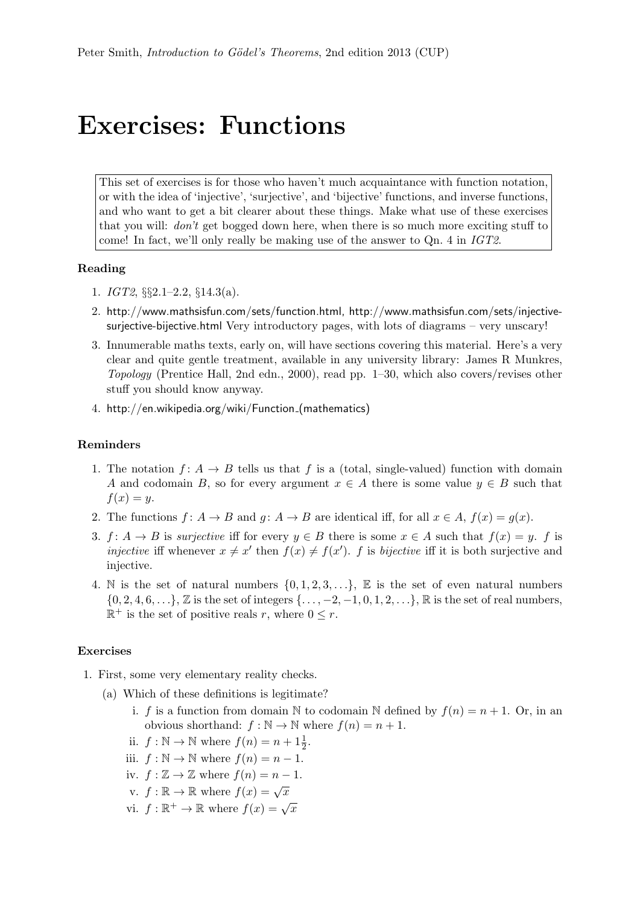## Exercises: Functions

This set of exercises is for those who haven't much acquaintance with function notation, or with the idea of 'injective', 'surjective', and 'bijective' functions, and inverse functions, and who want to get a bit clearer about these things. Make what use of these exercises that you will: don't get bogged down here, when there is so much more exciting stuff to come! In fact, we'll only really be making use of the answer to Qn. 4 in IGT2.

## Reading

- 1. IGT2, §§2.1–2.2, §14.3(a).
- 2. http://www.mathsisfun.com/sets/function.html, http://www.mathsisfun.com/sets/injectivesurjective-bijective.html Very introductory pages, with lots of diagrams – very unscary!
- 3. Innumerable maths texts, early on, will have sections covering this material. Here's a very clear and quite gentle treatment, available in any university library: James R Munkres, Topology (Prentice Hall, 2nd edn., 2000), read pp. 1–30, which also covers/revises other stuff you should know anyway.
- 4. http://en.wikipedia.org/wiki/Function (mathematics)

## Reminders

- 1. The notation  $f: A \to B$  tells us that f is a (total, single-valued) function with domain A and codomain B, so for every argument  $x \in A$  there is some value  $y \in B$  such that  $f(x) = y.$
- 2. The functions  $f: A \to B$  and  $g: A \to B$  are identical iff, for all  $x \in A$ ,  $f(x) = g(x)$ .
- 3. f:  $A \rightarrow B$  is surjective iff for every  $y \in B$  there is some  $x \in A$  such that  $f(x) = y$ . f is injective iff whenever  $x \neq x'$  then  $f(x) \neq f(x')$ . f is bijective iff it is both surjective and injective.
- 4. N is the set of natural numbers  $\{0, 1, 2, 3, \ldots\}$ , E is the set of even natural numbers  $\{0, 2, 4, 6, \ldots\}$ , Z is the set of integers  $\{\ldots, -2, -1, 0, 1, 2, \ldots\}$ , R is the set of real numbers,  $\mathbb{R}^+$  is the set of positive reals r, where  $0 \leq r$ .

## Exercises

- 1. First, some very elementary reality checks.
	- (a) Which of these definitions is legitimate?
		- i. f is a function from domain N to codomain N defined by  $f(n) = n + 1$ . Or, in an obvious shorthand:  $f : \mathbb{N} \to \mathbb{N}$  where  $f(n) = n + 1$ .
		- ii.  $f : \mathbb{N} \to \mathbb{N}$  where  $f(n) = n + 1\frac{1}{2}$ .
		- iii.  $f : \mathbb{N} \to \mathbb{N}$  where  $f(n) = n 1$ .
		- iv.  $f : \mathbb{Z} \to \mathbb{Z}$  where  $f(n) = n 1$ .
		- v.  $f : \mathbb{R} \to \mathbb{R}$  where  $f(x) = \sqrt{x}$
		- vi.  $f : \mathbb{R}^+ \to \mathbb{R}$  where  $f(x) = \sqrt{x}$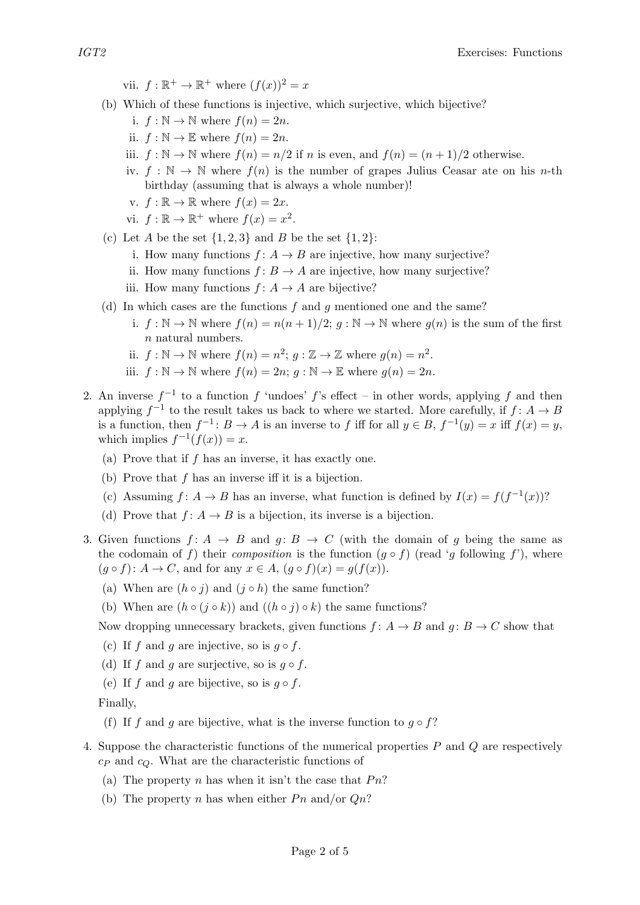vii.  $f : \mathbb{R}^+ \to \mathbb{R}^+$  where  $(f(x))^2 = x$ 

- (b) Which of these functions is injective, which surjective, which bijective?
	- i.  $f : \mathbb{N} \to \mathbb{N}$  where  $f(n) = 2n$ .
	- ii.  $f : \mathbb{N} \to \mathbb{E}$  where  $f(n) = 2n$ .
	- iii.  $f : \mathbb{N} \to \mathbb{N}$  where  $f(n) = n/2$  if n is even, and  $f(n) = (n+1)/2$  otherwise.
	- iv.  $f : \mathbb{N} \to \mathbb{N}$  where  $f(n)$  is the number of grapes Julius Ceasar ate on his *n*-th birthday (assuming that is always a whole number)!
	- v.  $f : \mathbb{R} \to \mathbb{R}$  where  $f(x) = 2x$ .
	- vi.  $f : \mathbb{R} \to \mathbb{R}^+$  where  $f(x) = x^2$ .
- (c) Let A be the set  $\{1, 2, 3\}$  and B be the set  $\{1, 2\}$ :
	- i. How many functions  $f: A \rightarrow B$  are injective, how many surjective?
	- ii. How many functions  $f: B \to A$  are injective, how many surjective?
	- iii. How many functions  $f: A \rightarrow A$  are bijective?
- (d) In which cases are the functions  $f$  and  $g$  mentioned one and the same?
	- i.  $f : \mathbb{N} \to \mathbb{N}$  where  $f(n) = n(n+1)/2$ ;  $g : \mathbb{N} \to \mathbb{N}$  where  $g(n)$  is the sum of the first n natural numbers.
	- ii.  $f : \mathbb{N} \to \mathbb{N}$  where  $f(n) = n^2$ ;  $g : \mathbb{Z} \to \mathbb{Z}$  where  $g(n) = n^2$ .
	- iii.  $f : \mathbb{N} \to \mathbb{N}$  where  $f(n) = 2n$ ;  $g : \mathbb{N} \to \mathbb{E}$  where  $g(n) = 2n$ .
- 2. An inverse  $f^{-1}$  to a function f 'undoes' f's effect in other words, applying f and then applying  $f^{-1}$  to the result takes us back to where we started. More carefully, if  $f: A \to B$ is a function, then  $f^{-1}$ :  $B \to A$  is an inverse to f iff for all  $y \in B$ ,  $f^{-1}(y) = x$  iff  $f(x) = y$ , which implies  $f^{-1}(f(x)) = x$ .
	- (a) Prove that if  $f$  has an inverse, it has exactly one.
	- (b) Prove that  $f$  has an inverse iff it is a bijection.
	- (c) Assuming  $f: A \to B$  has an inverse, what function is defined by  $I(x) = f(f^{-1}(x))$ ?
	- (d) Prove that  $f: A \to B$  is a bijection, its inverse is a bijection.
- 3. Given functions  $f: A \rightarrow B$  and  $g: B \rightarrow C$  (with the domain of g being the same as the codomain of f) their composition is the function  $(q \circ f)$  (read 'q following f'), where  $(g \circ f): A \to C$ , and for any  $x \in A$ ,  $(g \circ f)(x) = g(f(x))$ .
	- (a) When are  $(h \circ i)$  and  $(i \circ h)$  the same function?
	- (b) When are  $(h \circ (j \circ k))$  and  $((h \circ j) \circ k)$  the same functions?

Now dropping unnecessary brackets, given functions  $f: A \rightarrow B$  and  $g: B \rightarrow C$  show that

- (c) If f and g are injective, so is  $q \circ f$ .
- (d) If f and q are surjective, so is  $q \circ f$ .
- (e) If f and g are bijective, so is  $g \circ f$ .

Finally,

- (f) If f and g are bijective, what is the inverse function to  $g \circ f$ ?
- 4. Suppose the characteristic functions of the numerical properties P and Q are respectively  $c_P$  and  $c_Q$ . What are the characteristic functions of
	- (a) The property n has when it isn't the case that  $P_n$ ?
	- (b) The property n has when either  $P_n$  and/or  $Q_n$ ?